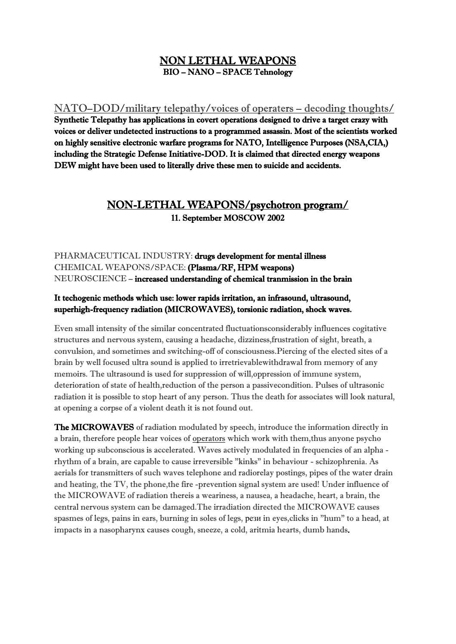### NON LETHAL WEAPONS BIO – NANO – SPACE Tehnology

NATO–DOD/military telepathy/voices of operaters – decoding thoughts/ Synthetic Telepathy has applications in covert operations designed to drive a target crazy with voices or deliver undetected instructions to a programmed assassin. Most of the scientists worked on highly sensitive electronic warfare programs for NATO, Intelligence Purposes (NSA,CIA,) including the Strategic Defense Initiative-DOD. It is claimed that directed energy weapons DEW might have been used to literally drive these men to suicide and accidents.

## NON-LETHAL WEAPONS/psychotron program/ 11. September MOSCOW 2002

PHARMACEUTICAL INDUSTRY: drugs development for mental illness CHEMICAL WEAPONS/SPACE: (Plasma/RF, HPM weapons) NEUROSCIENCE – increased understanding of chemical tranmission in the brain

#### It techogenic methods which use: lower rapids irritation, an infrasound, ultrasound, superhigh-frequency radiation (MICROWAVES), torsionic radiation, shock waves.

Even small intensity of the similar concentrated fluctuationsconsiderably influences cogitative structures and nervous system, causing a headache, dizziness,frustration of sight, breath, a convulsion, and sometimes and switching-off of consciousness.Piercing of the elected sites of a brain by well focused ultra sound is applied to irretrievablewithdrawal from memory of any memoirs. The ultrasound is used for suppression of will,oppression of immune system, deterioration of state of health,reduction of the person a passivecondition. Pulses of ultrasonic radiation it is possible to stop heart of any person. Thus the death for associates will look natural, at opening a corpse of a violent death it is not found out.

The MICROWAVES of radiation modulated by speech, introduce the information directly in a brain, therefore people hear voices of operators which work with them,thus anyone psycho working up subconscious is accelerated. Waves actively modulated in frequencies of an alpha rhythm of a brain, are capable to cause irreversible "kinks" in behaviour - schizophrenia. As aerials for transmitters of such waves telephone and radiorelay postings, pipes of the water drain and heating, the TV, the phone,the fire -prevention signal system are used! Under influence of the MICROWAVE of radiation thereis a weariness, a nausea, a headache, heart, a brain, the central nervous system can be damaged.The irradiation directed the MICROWAVE causes spasmes of legs, pains in ears, burning in soles of legs, рези in eyes,clicks in "hum" to a head, at impacts in a nasopharynx causes cough, sneeze, a cold, aritmia hearts, dumb hands.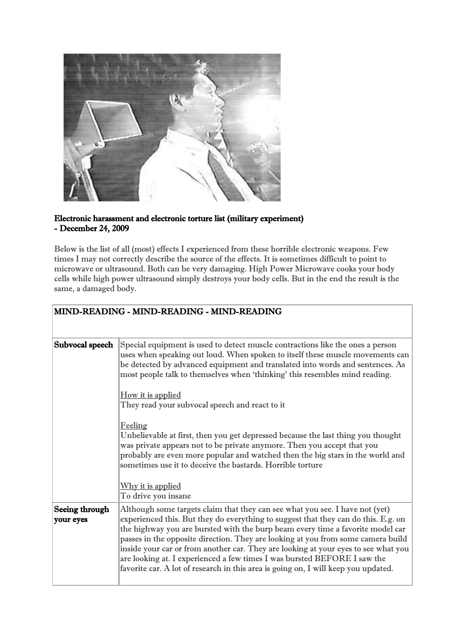

#### Electronic harassment and electronic torture list (military experiment) - December 24, 2009

Below is the list of all (most) effects I experienced from these horrible electronic weapons. Few times I may not correctly describe the source of the effects. It is sometimes difficult to point to microwave or ultrasound. Both can be very damaging. High Power Microwave cooks your body cells while high power ultrasound simply destroys your body cells. But in the end the result is the same, a damaged body.

|                             | MIND-READING - MIND-READING - MIND-READING                                                                                                                                                                                                                                                                                                                                                                                                                                                                                                                                                       |
|-----------------------------|--------------------------------------------------------------------------------------------------------------------------------------------------------------------------------------------------------------------------------------------------------------------------------------------------------------------------------------------------------------------------------------------------------------------------------------------------------------------------------------------------------------------------------------------------------------------------------------------------|
| Subvocal speech             | Special equipment is used to detect muscle contractions like the ones a person<br>uses when speaking out loud. When spoken to itself these muscle movements can<br>be detected by advanced equipment and translated into words and sentences. As<br>most people talk to themselves when 'thinking' this resembles mind reading.                                                                                                                                                                                                                                                                  |
|                             | How it is applied<br>They read your subvocal speech and react to it                                                                                                                                                                                                                                                                                                                                                                                                                                                                                                                              |
|                             | Feeling<br>Unbelievable at first, then you get depressed because the last thing you thought<br>was private appears not to be private anymore. Then you accept that you<br>probably are even more popular and watched then the big stars in the world and<br>sometimes use it to deceive the bastards. Horrible torture                                                                                                                                                                                                                                                                           |
|                             | <u>Why it is applied</u><br>To drive you insane                                                                                                                                                                                                                                                                                                                                                                                                                                                                                                                                                  |
| Seeing through<br>your eyes | Although some targets claim that they can see what you see. I have not (yet)<br>experienced this. But they do everything to suggest that they can do this. E.g. on<br>the highway you are bursted with the burp beam every time a favorite model car<br>passes in the opposite direction. They are looking at you from some camera build<br>inside your car or from another car. They are looking at your eyes to see what you<br>are looking at. I experienced a few times I was bursted BEFORE I saw the<br>favorite car. A lot of research in this area is going on, I will keep you updated. |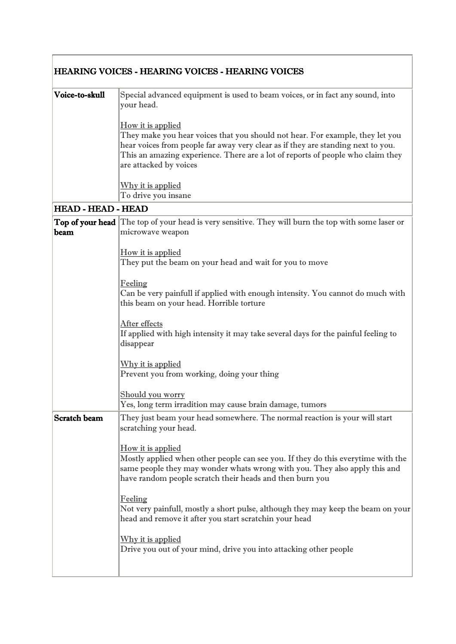|                           | <b>HEARING VOICES - HEARING VOICES - HEARING VOICES</b>                                                                                                                                                                                                                                             |
|---------------------------|-----------------------------------------------------------------------------------------------------------------------------------------------------------------------------------------------------------------------------------------------------------------------------------------------------|
| Voice-to-skull            | Special advanced equipment is used to beam voices, or in fact any sound, into<br>vour head.                                                                                                                                                                                                         |
|                           | How it is applied<br>They make you hear voices that you should not hear. For example, they let you<br>hear voices from people far away very clear as if they are standing next to you.<br>This an amazing experience. There are a lot of reports of people who claim they<br>are attacked by voices |
|                           | Why it is applied<br>To drive you insane                                                                                                                                                                                                                                                            |
| <b>HEAD - HEAD - HEAD</b> |                                                                                                                                                                                                                                                                                                     |

# HEAD - HEAD - HEAD<br>|-

|                     | <b>Top of your head</b> The top of your head is very sensitive. They will burn the top with some laser or                                  |
|---------------------|--------------------------------------------------------------------------------------------------------------------------------------------|
| beam                | microwave weapon                                                                                                                           |
|                     | How it is applied                                                                                                                          |
|                     | They put the beam on your head and wait for you to move                                                                                    |
|                     |                                                                                                                                            |
|                     | Feeling                                                                                                                                    |
|                     | Can be very painfull if applied with enough intensity. You cannot do much with<br>this beam on your head. Horrible torture                 |
|                     |                                                                                                                                            |
|                     | After effects                                                                                                                              |
|                     | If applied with high intensity it may take several days for the painful feeling to<br>disappear                                            |
|                     |                                                                                                                                            |
|                     | Why it is applied                                                                                                                          |
|                     | Prevent you from working, doing your thing                                                                                                 |
|                     |                                                                                                                                            |
|                     | Should you worry                                                                                                                           |
|                     | Yes, long term irradition may cause brain damage, tumors                                                                                   |
|                     |                                                                                                                                            |
| <b>Scratch beam</b> | They just beam your head somewhere. The normal reaction is your will start                                                                 |
|                     | scratching your head.                                                                                                                      |
|                     |                                                                                                                                            |
|                     | How it is applied<br>Mostly applied when other people can see you. If they do this everytime with the                                      |
|                     | same people they may wonder whats wrong with you. They also apply this and                                                                 |
|                     | have random people scratch their heads and then burn you                                                                                   |
|                     |                                                                                                                                            |
|                     | Feeling                                                                                                                                    |
|                     | Not very painfull, mostly a short pulse, although they may keep the beam on your<br>head and remove it after you start scratchin your head |
|                     |                                                                                                                                            |
|                     | Why it is applied                                                                                                                          |
|                     | Drive you out of your mind, drive you into attacking other people                                                                          |
|                     |                                                                                                                                            |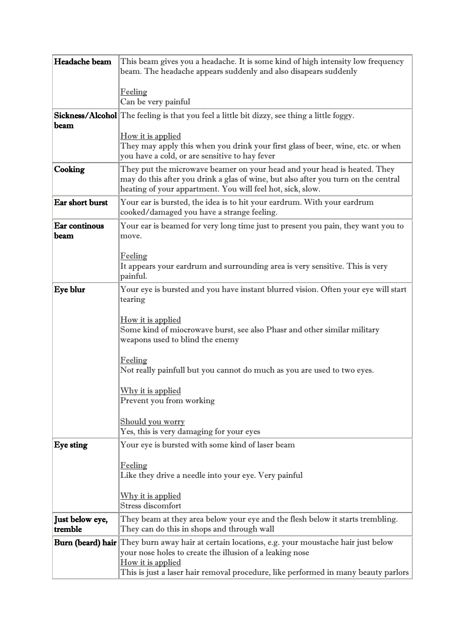| Headache beam          | This beam gives you a headache. It is some kind of high intensity low frequency<br>beam. The headache appears suddenly and also disapears suddenly                                                                           |
|------------------------|------------------------------------------------------------------------------------------------------------------------------------------------------------------------------------------------------------------------------|
|                        |                                                                                                                                                                                                                              |
|                        | Feeling                                                                                                                                                                                                                      |
|                        | Can be very painful                                                                                                                                                                                                          |
| beam                   | <b>Sickness/Alcohol</b> The feeling is that you feel a little bit dizzy, see thing a little foggy.                                                                                                                           |
|                        | How it is applied                                                                                                                                                                                                            |
|                        | They may apply this when you drink your first glass of beer, wine, etc. or when                                                                                                                                              |
|                        | you have a cold, or are sensitive to hay fever                                                                                                                                                                               |
| Cooking                | They put the microwave beamer on your head and your head is heated. They<br>may do this after you drink a glas of wine, but also after you turn on the central<br>heating of your appartment. You will feel hot, sick, slow. |
| Ear short burst        | Your ear is bursted, the idea is to hit your eardrum. With your eardrum<br>cooked/damaged you have a strange feeling.                                                                                                        |
| Ear continous          | Your ear is beamed for very long time just to present you pain, they want you to                                                                                                                                             |
| beam                   | move.                                                                                                                                                                                                                        |
|                        | Feeling                                                                                                                                                                                                                      |
|                        | It appears your eardrum and surrounding area is very sensitive. This is very                                                                                                                                                 |
|                        | painful.                                                                                                                                                                                                                     |
| Eye blur               | Your eye is bursted and you have instant blurred vision. Often your eye will start<br>tearing                                                                                                                                |
|                        |                                                                                                                                                                                                                              |
|                        | How it is applied                                                                                                                                                                                                            |
|                        | Some kind of miocrowave burst, see also Phasr and other similar military<br>weapons used to blind the enemy                                                                                                                  |
|                        |                                                                                                                                                                                                                              |
|                        | Feeling                                                                                                                                                                                                                      |
|                        | Not really painfull but you cannot do much as you are used to two eyes.                                                                                                                                                      |
|                        | Why it is applied                                                                                                                                                                                                            |
|                        | Prevent you from working                                                                                                                                                                                                     |
|                        | Should you worry                                                                                                                                                                                                             |
|                        | Yes, this is very damaging for your eyes                                                                                                                                                                                     |
| Eye sting              | Your eye is bursted with some kind of laser beam                                                                                                                                                                             |
|                        | Feeling                                                                                                                                                                                                                      |
|                        | Like they drive a needle into your eye. Very painful                                                                                                                                                                         |
|                        |                                                                                                                                                                                                                              |
|                        | <u>Why it is applied</u><br>Stress discomfort                                                                                                                                                                                |
| <b>Just below eye,</b> | They beam at they area below your eye and the flesh below it starts trembling.                                                                                                                                               |
| tremble                | They can do this in shops and through wall                                                                                                                                                                                   |
|                        | <b>Burn (beard) hair</b> They burn away hair at certain locations, e.g. your moustache hair just below                                                                                                                       |
|                        | your nose holes to create the illusion of a leaking nose                                                                                                                                                                     |
|                        | How it is applied<br>This is just a laser hair removal procedure, like performed in many beauty parlors                                                                                                                      |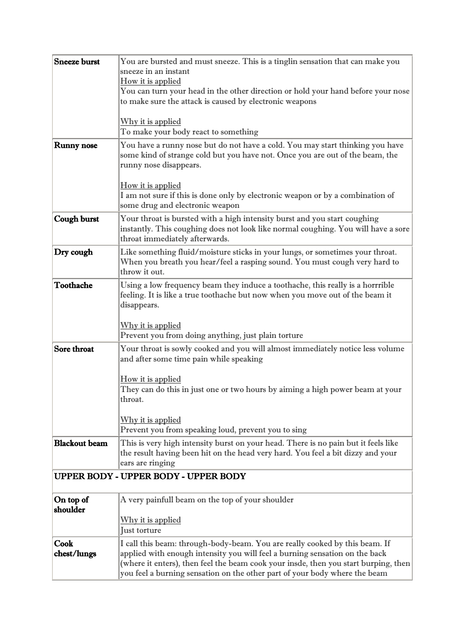| <b>Sneeze burst</b>  | You are bursted and must sneeze. This is a tinglin sensation that can make you<br>sneeze in an instant                    |
|----------------------|---------------------------------------------------------------------------------------------------------------------------|
|                      | How it is applied                                                                                                         |
|                      | You can turn your head in the other direction or hold your hand before your nose                                          |
|                      | to make sure the attack is caused by electronic weapons                                                                   |
|                      |                                                                                                                           |
|                      | Why it is applied<br>To make your body react to something                                                                 |
| <b>Runny nose</b>    | You have a runny nose but do not have a cold. You may start thinking you have                                             |
|                      | some kind of strange cold but you have not. Once you are out of the beam, the<br>runny nose disappears.                   |
|                      | How it is applied                                                                                                         |
|                      | I am not sure if this is done only by electronic weapon or by a combination of                                            |
|                      | some drug and electronic weapon                                                                                           |
| <b>Cough burst</b>   | Your throat is bursted with a high intensity burst and you start coughing                                                 |
|                      | instantly. This coughing does not look like normal coughing. You will have a sore<br>throat immediately afterwards.       |
| Dry cough            | Like something fluid/moisture sticks in your lungs, or sometimes your throat.                                             |
|                      | When you breath you hear/feel a rasping sound. You must cough very hard to                                                |
|                      | throw it out.                                                                                                             |
| Toothache            | Using a low frequency beam they induce a toothache, this really is a horrrible                                            |
|                      | feeling. It is like a true toothache but now when you move out of the beam it                                             |
|                      | disappears.                                                                                                               |
|                      |                                                                                                                           |
|                      | Why it is applied<br>Prevent you from doing anything, just plain torture                                                  |
| Sore throat          |                                                                                                                           |
|                      | Your throat is sowly cooked and you will almost immediately notice less volume<br>and after some time pain while speaking |
|                      |                                                                                                                           |
|                      | How it is applied                                                                                                         |
|                      | They can do this in just one or two hours by aiming a high power beam at your                                             |
|                      | throat.                                                                                                                   |
|                      |                                                                                                                           |
|                      | Why it is applied                                                                                                         |
|                      | Prevent you from speaking loud, prevent you to sing                                                                       |
| <b>Blackout beam</b> | This is very high intensity burst on your head. There is no pain but it feels like                                        |
|                      | the result having been hit on the head very hard. You feel a bit dizzy and your                                           |
|                      | ears are ringing                                                                                                          |
|                      | UPPER BODY - UPPER BODY - UPPER BODY                                                                                      |
| On top of            | A very painfull beam on the top of your shoulder                                                                          |
| shoulder             |                                                                                                                           |
|                      | Why it is applied                                                                                                         |
|                      | Just torture                                                                                                              |
| Cook                 | I call this beam: through-body-beam. You are really cooked by this beam. If                                               |
| chest/lungs          | applied with enough intensity you will feel a burning sensation on the back                                               |
|                      | (where it enters), then feel the beam cook your insde, then you start burping, then                                       |
|                      | you feel a burning sensation on the other part of your body where the beam                                                |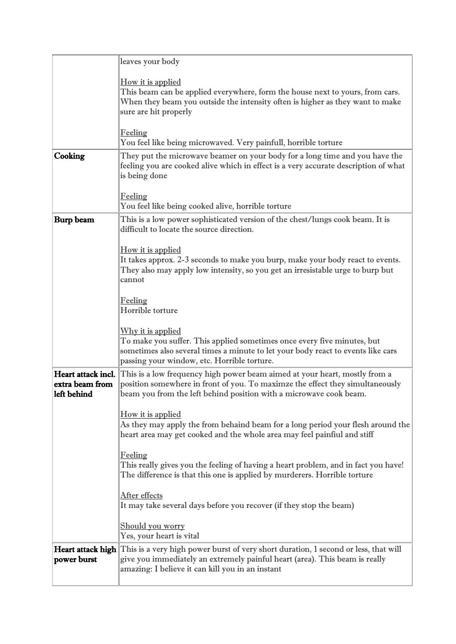|                                                      | leaves your body                                                                                                                                                                                                                         |
|------------------------------------------------------|------------------------------------------------------------------------------------------------------------------------------------------------------------------------------------------------------------------------------------------|
|                                                      | How it is applied<br>This beam can be applied everywhere, form the house next to yours, from cars.<br>When they beam you outside the intensity often is higher as they want to make<br>sure are hit properly                             |
|                                                      | <u>Feeling</u><br>You feel like being microwaved. Very painfull, horrible torture                                                                                                                                                        |
| Cooking                                              | They put the microwave beamer on your body for a long time and you have the<br>feeling you are cooked alive which in effect is a very accurate description of what<br>is being done                                                      |
|                                                      | <u>Feeling</u><br>You feel like being cooked alive, horrible torture                                                                                                                                                                     |
| Burp beam                                            | This is a low power sophisticated version of the chest/lungs cook beam. It is<br>difficult to locate the source direction.                                                                                                               |
|                                                      | How it is applied<br>It takes approx. 2-3 seconds to make you burp, make your body react to events.<br>They also may apply low intensity, so you get an irresistable urge to burp but<br>cannot                                          |
|                                                      | Feeling<br>Horrible torture                                                                                                                                                                                                              |
|                                                      | Why it is applied<br>To make you suffer. This applied sometimes once every five minutes, but<br>sometimes also several times a minute to let your body react to events like cars<br>passing your window, etc. Horrible torture.          |
| Heart attack incl.<br>extra beam from<br>left behind | This is a low frequency high power beam aimed at your heart, mostly from a<br>position somewhere in front of you. To maximze the effect they simultaneously<br>beam you from the left behind position with a microwave cook beam.        |
|                                                      | How it is applied<br>As they may apply the from behaind beam for a long period your flesh around the<br>heart area may get cooked and the whole area may feel painfiul and stiff                                                         |
|                                                      | Feeling<br>This really gives you the feeling of having a heart problem, and in fact you have!<br>The difference is that this one is applied by murderers. Horrible torture                                                               |
|                                                      | After effects<br>It may take several days before you recover (if they stop the beam)                                                                                                                                                     |
|                                                      | <b>Should you worry</b><br>Yes, your heart is vital                                                                                                                                                                                      |
| power burst                                          | Heart attack high This is a very high power burst of very short duration, 1 second or less, that will<br>give you immediately an extremely painful heart (area). This beam is really<br>amazing: I believe it can kill you in an instant |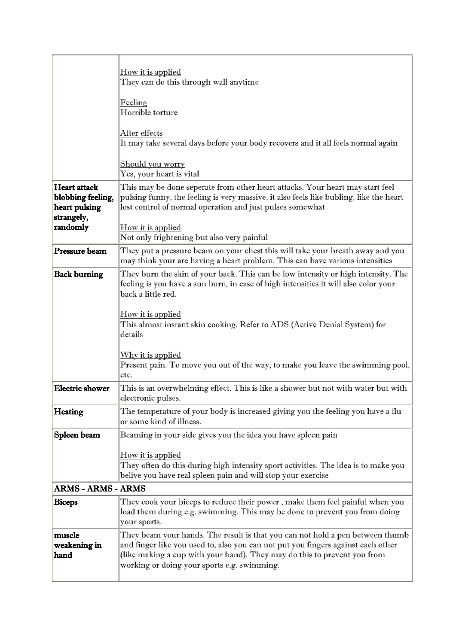|                                                                         | How it is applied<br>They can do this through wall anytime                                                                                                                                                                                                                                   |
|-------------------------------------------------------------------------|----------------------------------------------------------------------------------------------------------------------------------------------------------------------------------------------------------------------------------------------------------------------------------------------|
|                                                                         | Feeling<br>Horrible torture                                                                                                                                                                                                                                                                  |
|                                                                         | After effects<br>It may take several days before your body recovers and it all feels normal again                                                                                                                                                                                            |
|                                                                         | Should you worry<br>Yes, your heart is vital                                                                                                                                                                                                                                                 |
| <b>Heart</b> attack<br>blobbing feeling,<br>heart pulsing<br>strangely, | This may be done seperate from other heart attacks. Your heart may start feel<br>pulsing funny, the feeling is very massive, it also feels like bubling, like the heart<br>lost control of normal operation and just pulses somewhat                                                         |
| randomly                                                                | How it is applied<br>Not only frightening but also very painful                                                                                                                                                                                                                              |
| Pressure beam                                                           | They put a pressure beam on your chest this will take your breath away and you<br>may think your are having a heart problem. This can have various intensities                                                                                                                               |
| <b>Back burning</b>                                                     | They burn the skin of your back. This can be low intensity or high intensity. The<br>feeling is you have a sun burn, in case of high intensities it will also color your<br>back a little red.                                                                                               |
|                                                                         | How it is applied<br>This almost instant skin cooking. Refer to ADS (Active Denial System) for<br>details                                                                                                                                                                                    |
|                                                                         | Why it is applied<br>Present pain. To move you out of the way, to make you leave the swimming pool,<br>etc.                                                                                                                                                                                  |
| <b>Electric shower</b>                                                  | This is an overwhelming effect. This is like a shower but not with water but with<br>electronic pulses.                                                                                                                                                                                      |
| <b>Heating</b>                                                          | The temperature of your body is increased giving you the feeling you have a flu<br>or some kind of illness.                                                                                                                                                                                  |
| Spleen beam                                                             | Beaming in your side gives you the idea you have spleen pain                                                                                                                                                                                                                                 |
|                                                                         | How it is applied<br>They often do this during high intensity sport activities. The idea is to make you<br>belive you have real spleen pain and will stop your exercise                                                                                                                      |
| <b>ARMS - ARMS - ARMS</b>                                               |                                                                                                                                                                                                                                                                                              |
| <b>Biceps</b>                                                           | They cook your biceps to reduce their power, make them feel painful when you<br>load them during e.g. swimming. This may be done to prevent you from doing<br>your sports.                                                                                                                   |
| muscle<br>weakening in<br>hand                                          | They beam your hands. The result is that you can not hold a pen between thumb<br>and finger like you used to, also you can not put you fingers against each other<br>(like making a cup with your hand). They may do this to prevent you from<br>working or doing your sports e.g. swimming. |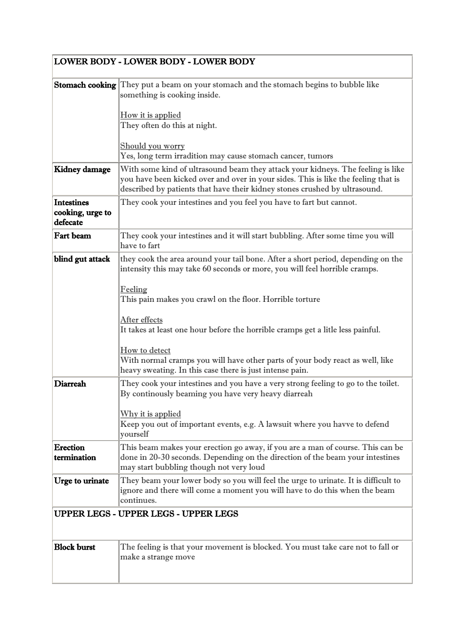|                                            | <b>LOWER BODY - LOWER BODY - LOWER BODY</b>                                                                                                                                                                                                                    |
|--------------------------------------------|----------------------------------------------------------------------------------------------------------------------------------------------------------------------------------------------------------------------------------------------------------------|
|                                            | <b>Stomach cooking</b> They put a beam on your stomach and the stomach begins to bubble like<br>something is cooking inside.<br><u>How it is applied</u><br>They often do this at night.<br>Should you worry                                                   |
|                                            | Yes, long term irradition may cause stomach cancer, tumors                                                                                                                                                                                                     |
| Kidney damage                              | With some kind of ultrasound beam they attack your kidneys. The feeling is like<br>you have been kicked over and over in your sides. This is like the feeling that is<br>described by patients that have their kidney stones crushed by ultrasound.            |
| Intestines<br>cooking, urge to<br>defecate | They cook your intestines and you feel you have to fart but cannot.                                                                                                                                                                                            |
| Fart beam                                  | They cook your intestines and it will start bubbling. After some time you will<br>have to fart                                                                                                                                                                 |
| blind gut attack                           | they cook the area around your tail bone. After a short period, depending on the<br>intensity this may take 60 seconds or more, you will feel horrible cramps.<br>Feeling<br>This pain makes you crawl on the floor. Horrible torture                          |
|                                            | After effects<br>It takes at least one hour before the horrible cramps get a litle less painful.<br>How to detect<br>With normal cramps you will have other parts of your body react as well, like<br>heavy sweating. In this case there is just intense pain. |
| <b>Diarreah</b>                            | They cook your intestines and you have a very strong feeling to go to the toilet.<br>By continously beaming you have very heavy diarreah<br>Why it is applied<br>Keep you out of important events, e.g. A lawsuit where you havve to defend<br>yourself        |
| <b>Erection</b><br>termination             | This beam makes your erection go away, if you are a man of course. This can be<br>done in 20-30 seconds. Depending on the direction of the beam your intestines<br>may start bubbling though not very loud                                                     |
| Urge to urinate                            | They beam your lower body so you will feel the urge to urinate. It is difficult to<br>ignore and there will come a moment you will have to do this when the beam<br>continues.                                                                                 |
|                                            | UPPER LEGS - UPPER LEGS - UPPER LEGS                                                                                                                                                                                                                           |
| <b>Block burst</b>                         | The feeling is that your movement is blocked. You must take care not to fall or<br>make a strange move                                                                                                                                                         |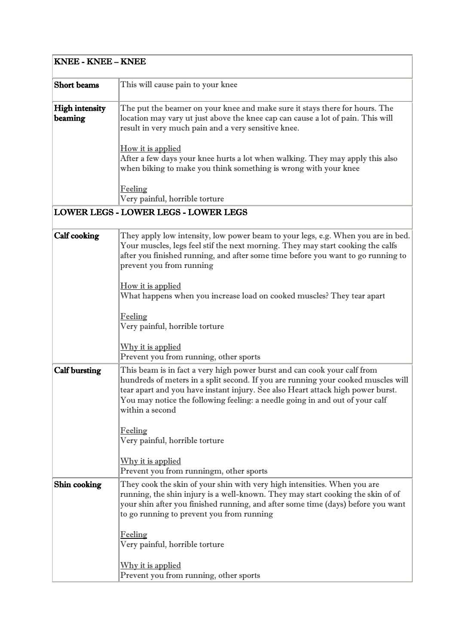| <b>KNEE - KNEE – KNEE</b>        |                                                                                                                                                                                                                                                                                                                                                     |
|----------------------------------|-----------------------------------------------------------------------------------------------------------------------------------------------------------------------------------------------------------------------------------------------------------------------------------------------------------------------------------------------------|
| <b>Short</b> beams               | This will cause pain to your knee                                                                                                                                                                                                                                                                                                                   |
| <b>High intensity</b><br>beaming | The put the beamer on your knee and make sure it stays there for hours. The<br>location may vary ut just above the knee cap can cause a lot of pain. This will<br>result in very much pain and a very sensitive knee.                                                                                                                               |
|                                  | How it is applied<br>After a few days your knee hurts a lot when walking. They may apply this also<br>when biking to make you think something is wrong with your knee                                                                                                                                                                               |
|                                  | Feeling<br>Very painful, horrible torture                                                                                                                                                                                                                                                                                                           |
|                                  | <b>LOWER LEGS - LOWER LEGS - LOWER LEGS</b>                                                                                                                                                                                                                                                                                                         |
| <b>Calf cooking</b>              | They apply low intensity, low power beam to your legs, e.g. When you are in bed.<br>Your muscles, legs feel stif the next morning. They may start cooking the calfs<br>after you finished running, and after some time before you want to go running to<br>prevent you from running                                                                 |
|                                  | How it is applied<br>What happens when you increase load on cooked muscles? They tear apart                                                                                                                                                                                                                                                         |
|                                  | Feeling<br>Very painful, horrible torture                                                                                                                                                                                                                                                                                                           |
|                                  | Why it is applied<br>Prevent you from running, other sports                                                                                                                                                                                                                                                                                         |
| <b>Calf bursting</b>             | This beam is in fact a very high power burst and can cook your calf from<br>hundreds of meters in a split second. If you are running your cooked muscles will<br>tear apart and you have instant injury. See also Heart attack high power burst.<br>You may notice the following feeling: a needle going in and out of your calf<br>within a second |
|                                  | Feeling<br>Very painful, horrible torture                                                                                                                                                                                                                                                                                                           |
|                                  | Why it is applied<br>Prevent you from runningm, other sports                                                                                                                                                                                                                                                                                        |
| Shin cooking                     | They cook the skin of your shin with very high intensities. When you are<br>running, the shin injury is a well-known. They may start cooking the skin of of<br>your shin after you finished running, and after some time (days) before you want<br>to go running to prevent you from running                                                        |
|                                  | Feeling<br>Very painful, horrible torture                                                                                                                                                                                                                                                                                                           |
|                                  | Why it is applied<br>Prevent you from running, other sports                                                                                                                                                                                                                                                                                         |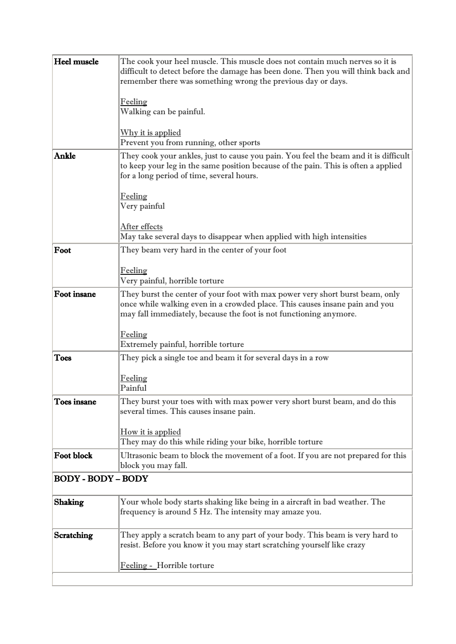| Heel muscle               | The cook your heel muscle. This muscle does not contain much nerves so it is<br>difficult to detect before the damage has been done. Then you will think back and<br>remember there was something wrong the previous day or days.  |
|---------------------------|------------------------------------------------------------------------------------------------------------------------------------------------------------------------------------------------------------------------------------|
|                           | Feeling<br>Walking can be painful.                                                                                                                                                                                                 |
|                           | Why it is applied<br>Prevent you from running, other sports                                                                                                                                                                        |
| Ankle                     | They cook your ankles, just to cause you pain. You feel the beam and it is difficult<br>to keep your leg in the same position because of the pain. This is often a applied<br>for a long period of time, several hours.            |
|                           | <b>Feeling</b><br>Very painful                                                                                                                                                                                                     |
|                           | After effects                                                                                                                                                                                                                      |
|                           | May take several days to disappear when applied with high intensities                                                                                                                                                              |
| Foot                      | They beam very hard in the center of your foot                                                                                                                                                                                     |
|                           | <u>Feeling</u><br>Very painful, horrible torture                                                                                                                                                                                   |
| Foot insane               | They burst the center of your foot with max power very short burst beam, only<br>once while walking even in a crowded place. This causes insane pain and you<br>may fall immediately, because the foot is not functioning anymore. |
|                           | <u>Feeling</u><br>Extremely painful, horrible torture                                                                                                                                                                              |
| <b>Toes</b>               | They pick a single toe and beam it for several days in a row                                                                                                                                                                       |
|                           | Feeling<br>Painful                                                                                                                                                                                                                 |
| Toes insane               | They burst your toes with with max power very short burst beam, and do this<br>several times. This causes insane pain.                                                                                                             |
|                           | How it is applied<br>They may do this while riding your bike, horrible torture                                                                                                                                                     |
| <b>Foot block</b>         | Ultrasonic beam to block the movement of a foot. If you are not prepared for this<br>block you may fall.                                                                                                                           |
| <b>BODY - BODY - BODY</b> |                                                                                                                                                                                                                                    |
| <b>Shaking</b>            | Your whole body starts shaking like being in a aircraft in bad weather. The<br>frequency is around 5 Hz. The intensity may amaze you.                                                                                              |
| Scratching                | They apply a scratch beam to any part of your body. This beam is very hard to<br>resist. Before you know it you may start scratching yourself like crazy                                                                           |
|                           | Feeling - Horrible torture                                                                                                                                                                                                         |
|                           |                                                                                                                                                                                                                                    |